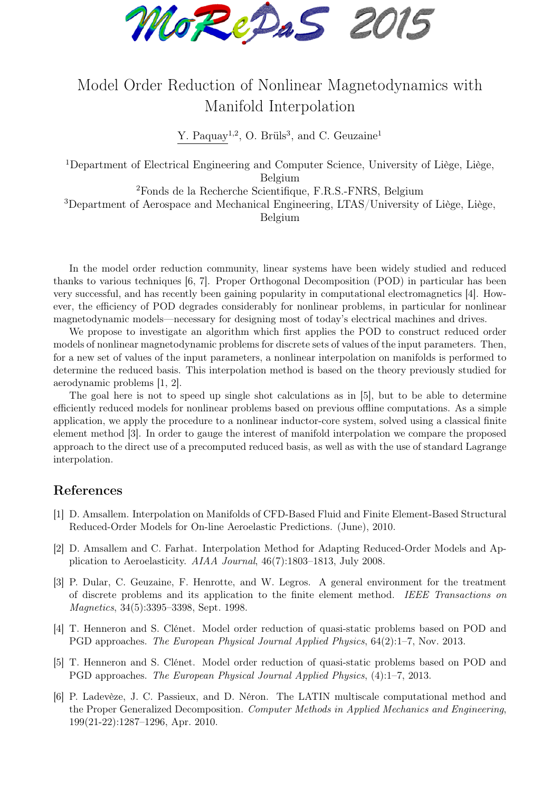MoReDaS 2015

## Model Order Reduction of Nonlinear Magnetodynamics with Manifold Interpolation

Y. Paquay<sup>1,2</sup>, O. Brüls<sup>3</sup>, and C. Geuzaine<sup>1</sup>

<sup>1</sup>Department of Electrical Engineering and Computer Science, University of Liège, Liège, Belgium

<sup>2</sup>Fonds de la Recherche Scientifique, F.R.S.-FNRS, Belgium

<sup>3</sup>Department of Aerospace and Mechanical Engineering, LTAS/University of Liège, Liège, Belgium

In the model order reduction community, linear systems have been widely studied and reduced thanks to various techniques [6, 7]. Proper Orthogonal Decomposition (POD) in particular has been very successful, and has recently been gaining popularity in computational electromagnetics [4]. However, the efficiency of POD degrades considerably for nonlinear problems, in particular for nonlinear magnetodynamic models—necessary for designing most of today's electrical machines and drives.

We propose to investigate an algorithm which first applies the POD to construct reduced order models of nonlinear magnetodynamic problems for discrete sets of values of the input parameters. Then, for a new set of values of the input parameters, a nonlinear interpolation on manifolds is performed to determine the reduced basis. This interpolation method is based on the theory previously studied for aerodynamic problems [1, 2].

The goal here is not to speed up single shot calculations as in [5], but to be able to determine efficiently reduced models for nonlinear problems based on previous offline computations. As a simple application, we apply the procedure to a nonlinear inductor-core system, solved using a classical finite element method [3]. In order to gauge the interest of manifold interpolation we compare the proposed approach to the direct use of a precomputed reduced basis, as well as with the use of standard Lagrange interpolation.

## References

- [1] D. Amsallem. Interpolation on Manifolds of CFD-Based Fluid and Finite Element-Based Structural Reduced-Order Models for On-line Aeroelastic Predictions. (June), 2010.
- [2] D. Amsallem and C. Farhat. Interpolation Method for Adapting Reduced-Order Models and Application to Aeroelasticity. AIAA Journal, 46(7):1803–1813, July 2008.
- [3] P. Dular, C. Geuzaine, F. Henrotte, and W. Legros. A general environment for the treatment of discrete problems and its application to the finite element method. IEEE Transactions on Magnetics, 34(5):3395–3398, Sept. 1998.
- [4] T. Henneron and S. Clénet. Model order reduction of quasi-static problems based on POD and PGD approaches. The European Physical Journal Applied Physics, 64(2):1–7, Nov. 2013.
- [5] T. Henneron and S. Clénet. Model order reduction of quasi-static problems based on POD and PGD approaches. The European Physical Journal Applied Physics, (4):1–7, 2013.
- [6] P. Ladevèze, J. C. Passieux, and D. Néron. The LATIN multiscale computational method and the Proper Generalized Decomposition. Computer Methods in Applied Mechanics and Engineering, 199(21-22):1287–1296, Apr. 2010.